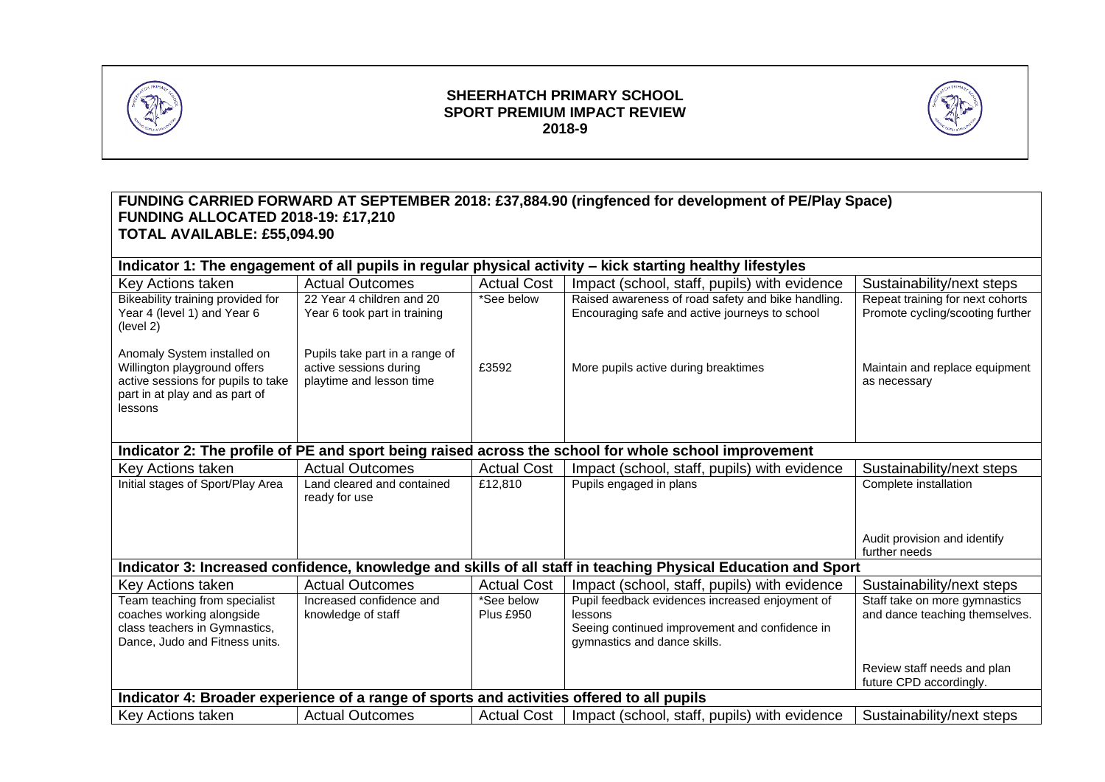

## **SHEERHATCH PRIMARY SCHOOL SPORT PREMIUM IMPACT REVIEW 2018-9**



#### **FUNDING CARRIED FORWARD AT SEPTEMBER 2018: £37,884.90 (ringfenced for development of PE/Play Space) FUNDING ALLOCATED 2018-19: £17,210 TOTAL AVAILABLE: £55,094.90 Indicator 1: The engagement of all pupils in regular physical activity – kick starting healthy lifestyles** Key Actions taken  $\vert$  Actual Outcomes  $\vert$  Actual Cost  $\vert$  Impact (school, staff, pupils) with evidence  $\vert$  Sustainability/next steps Bikeability training provided for Year 4 (level 1) and Year 6 22 Year 4 children and 20 Year 6 took part in training \*See below Raised awareness of road safety and bike handling. Encouraging safe and active journeys to school Repeat training for next cohorts Promote cycling/scooting further

| Year 4 (level 1) and Year 6<br>(level 2)                                                                                                       | rear 6 took part in training                                                         |                                | Encouraging sare and active journeys to school                                                                                               | Promote cycling/scooting further                                |  |  |
|------------------------------------------------------------------------------------------------------------------------------------------------|--------------------------------------------------------------------------------------|--------------------------------|----------------------------------------------------------------------------------------------------------------------------------------------|-----------------------------------------------------------------|--|--|
| Anomaly System installed on<br>Willington playground offers<br>active sessions for pupils to take<br>part in at play and as part of<br>lessons | Pupils take part in a range of<br>active sessions during<br>playtime and lesson time | £3592                          | More pupils active during breaktimes                                                                                                         | Maintain and replace equipment<br>as necessary                  |  |  |
| Indicator 2: The profile of PE and sport being raised across the school for whole school improvement                                           |                                                                                      |                                |                                                                                                                                              |                                                                 |  |  |
| Key Actions taken                                                                                                                              | <b>Actual Outcomes</b>                                                               | <b>Actual Cost</b>             | Impact (school, staff, pupils) with evidence                                                                                                 | Sustainability/next steps                                       |  |  |
| Initial stages of Sport/Play Area                                                                                                              | Land cleared and contained<br>ready for use                                          | £12,810                        | Pupils engaged in plans                                                                                                                      | Complete installation                                           |  |  |
|                                                                                                                                                |                                                                                      |                                |                                                                                                                                              | Audit provision and identify<br>further needs                   |  |  |
| Indicator 3: Increased confidence, knowledge and skills of all staff in teaching Physical Education and Sport                                  |                                                                                      |                                |                                                                                                                                              |                                                                 |  |  |
| Key Actions taken                                                                                                                              | <b>Actual Outcomes</b>                                                               | <b>Actual Cost</b>             | Impact (school, staff, pupils) with evidence                                                                                                 | Sustainability/next steps                                       |  |  |
| Team teaching from specialist<br>coaches working alongside<br>class teachers in Gymnastics,<br>Dance, Judo and Fitness units.                  | Increased confidence and<br>knowledge of staff                                       | *See below<br><b>Plus £950</b> | Pupil feedback evidences increased enjoyment of<br>lessons<br>Seeing continued improvement and confidence in<br>gymnastics and dance skills. | Staff take on more gymnastics<br>and dance teaching themselves. |  |  |
|                                                                                                                                                |                                                                                      |                                |                                                                                                                                              | Review staff needs and plan<br>future CPD accordingly.          |  |  |
| Indicator 4: Broader experience of a range of sports and activities offered to all pupils                                                      |                                                                                      |                                |                                                                                                                                              |                                                                 |  |  |
| Key Actions taken                                                                                                                              | <b>Actual Outcomes</b>                                                               | <b>Actual Cost</b>             | Impact (school, staff, pupils) with evidence                                                                                                 | Sustainability/next steps                                       |  |  |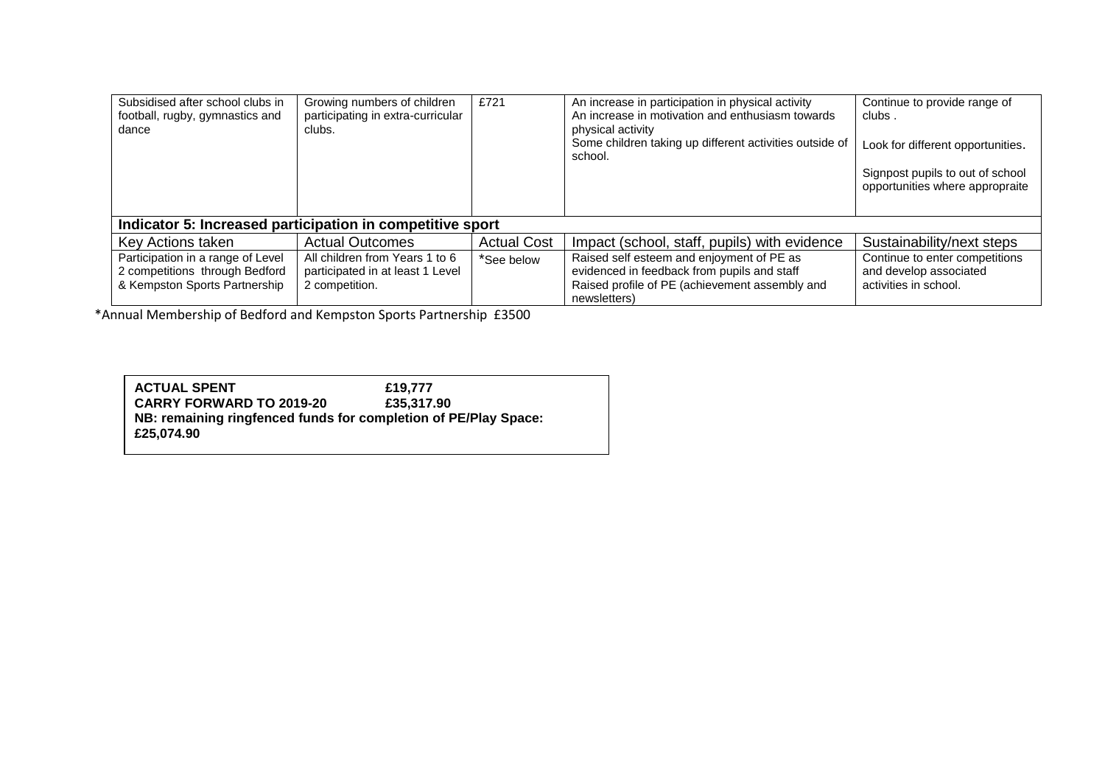| Subsidised after school clubs in<br>football, rugby, gymnastics and<br>dance                         | Growing numbers of children<br>participating in extra-curricular<br>clubs.           | £721               | An increase in participation in physical activity<br>An increase in motivation and enthusiasm towards<br>physical activity<br>Some children taking up different activities outside of<br>school. | Continue to provide range of<br>clubs.<br>Look for different opportunities.<br>Signpost pupils to out of school<br>opportunities where appropraite |  |
|------------------------------------------------------------------------------------------------------|--------------------------------------------------------------------------------------|--------------------|--------------------------------------------------------------------------------------------------------------------------------------------------------------------------------------------------|----------------------------------------------------------------------------------------------------------------------------------------------------|--|
| Indicator 5: Increased participation in competitive sport                                            |                                                                                      |                    |                                                                                                                                                                                                  |                                                                                                                                                    |  |
| Key Actions taken                                                                                    | <b>Actual Outcomes</b>                                                               | <b>Actual Cost</b> | Impact (school, staff, pupils) with evidence                                                                                                                                                     | Sustainability/next steps                                                                                                                          |  |
| Participation in a range of Level<br>2 competitions through Bedford<br>& Kempston Sports Partnership | All children from Years 1 to 6<br>participated in at least 1 Level<br>2 competition. | *See below         | Raised self esteem and enjoyment of PE as<br>evidenced in feedback from pupils and staff<br>Raised profile of PE (achievement assembly and<br>newsletters)                                       | Continue to enter competitions<br>and develop associated<br>activities in school.                                                                  |  |

\*Annual Membership of Bedford and Kempston Sports Partnership £3500

| <b>ACTUAL SPENT</b>                                             | £19.777    |  |  |
|-----------------------------------------------------------------|------------|--|--|
| <b>CARRY FORWARD TO 2019-20</b>                                 | £35,317,90 |  |  |
| NB: remaining ringfenced funds for completion of PE/Play Space: |            |  |  |
| £25.074.90                                                      |            |  |  |
|                                                                 |            |  |  |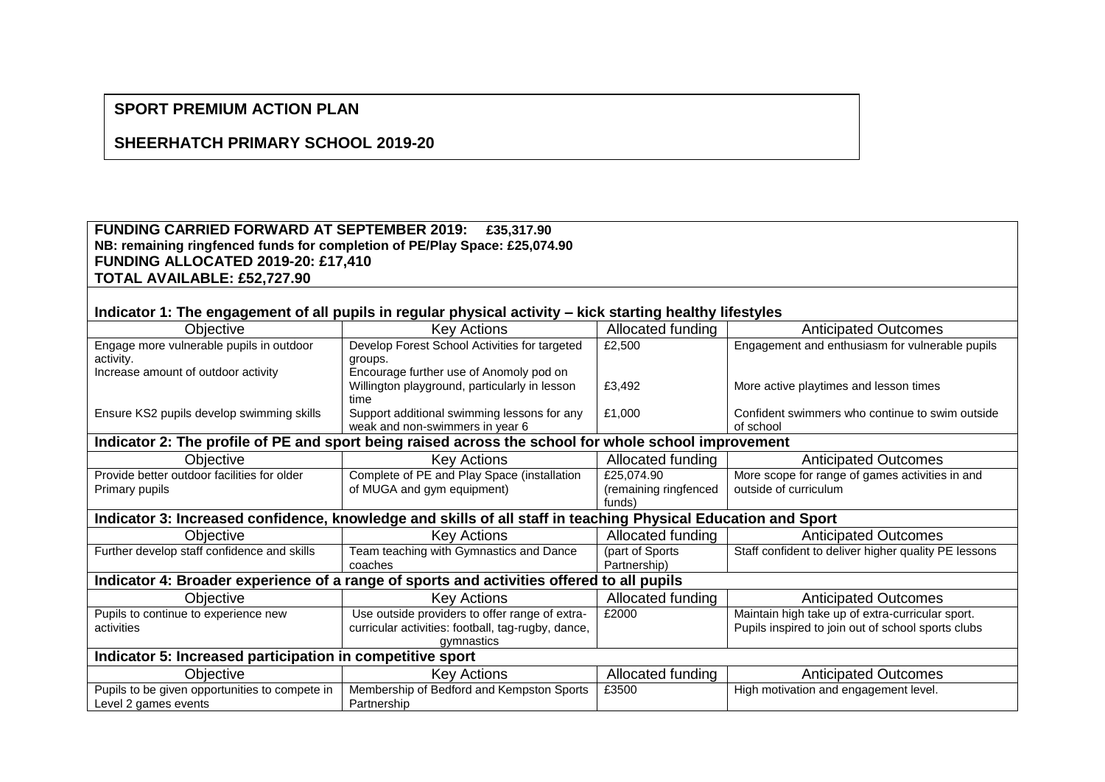# **SPORT PREMIUM ACTION PLAN**

## **SHEERHATCH PRIMARY SCHOOL 2019-20**

### **FUNDING CARRIED FORWARD AT SEPTEMBER 2019: £35,317.90 NB: remaining ringfenced funds for completion of PE/Play Space: £25,074.90 FUNDING ALLOCATED 2019-20: £17,410 TOTAL AVAILABLE: £52,727.90**

# **Indicator 1: The engagement of all pupils in regular physical activity – kick starting healthy lifestyles**

| Objective                                                                                                     | <b>Key Actions</b>                                 | Allocated funding     | <b>Anticipated Outcomes</b>                          |  |  |
|---------------------------------------------------------------------------------------------------------------|----------------------------------------------------|-----------------------|------------------------------------------------------|--|--|
| Engage more vulnerable pupils in outdoor                                                                      | Develop Forest School Activities for targeted      | £2,500                | Engagement and enthusiasm for vulnerable pupils      |  |  |
| activity.                                                                                                     | groups.                                            |                       |                                                      |  |  |
| Increase amount of outdoor activity                                                                           | Encourage further use of Anomoly pod on            |                       |                                                      |  |  |
|                                                                                                               | Willington playground, particularly in lesson      | £3,492                | More active playtimes and lesson times               |  |  |
|                                                                                                               | time                                               |                       |                                                      |  |  |
| Ensure KS2 pupils develop swimming skills                                                                     | Support additional swimming lessons for any        | £1,000                | Confident swimmers who continue to swim outside      |  |  |
|                                                                                                               | weak and non-swimmers in year 6                    |                       | of school                                            |  |  |
| Indicator 2: The profile of PE and sport being raised across the school for whole school improvement          |                                                    |                       |                                                      |  |  |
| Objective                                                                                                     | <b>Key Actions</b>                                 | Allocated funding     | <b>Anticipated Outcomes</b>                          |  |  |
| Provide better outdoor facilities for older                                                                   | Complete of PE and Play Space (installation        | £25,074.90            | More scope for range of games activities in and      |  |  |
| Primary pupils                                                                                                | of MUGA and gym equipment)                         | (remaining ringfenced | outside of curriculum                                |  |  |
|                                                                                                               |                                                    | funds)                |                                                      |  |  |
| Indicator 3: Increased confidence, knowledge and skills of all staff in teaching Physical Education and Sport |                                                    |                       |                                                      |  |  |
| Objective                                                                                                     | <b>Key Actions</b>                                 | Allocated funding     | <b>Anticipated Outcomes</b>                          |  |  |
| Further develop staff confidence and skills                                                                   | Team teaching with Gymnastics and Dance            | (part of Sports       | Staff confident to deliver higher quality PE lessons |  |  |
|                                                                                                               | coaches                                            | Partnership)          |                                                      |  |  |
| Indicator 4: Broader experience of a range of sports and activities offered to all pupils                     |                                                    |                       |                                                      |  |  |
| Objective                                                                                                     | <b>Key Actions</b>                                 | Allocated funding     | <b>Anticipated Outcomes</b>                          |  |  |
| Pupils to continue to experience new                                                                          | Use outside providers to offer range of extra-     | £2000                 | Maintain high take up of extra-curricular sport.     |  |  |
| activities                                                                                                    | curricular activities: football, tag-rugby, dance, |                       | Pupils inspired to join out of school sports clubs   |  |  |
|                                                                                                               | gymnastics                                         |                       |                                                      |  |  |
| Indicator 5: Increased participation in competitive sport                                                     |                                                    |                       |                                                      |  |  |
| Objective                                                                                                     | <b>Key Actions</b>                                 | Allocated funding     | <b>Anticipated Outcomes</b>                          |  |  |
| Pupils to be given opportunities to compete in                                                                | Membership of Bedford and Kempston Sports          | £3500                 | High motivation and engagement level.                |  |  |
| Level 2 games events                                                                                          | Partnership                                        |                       |                                                      |  |  |